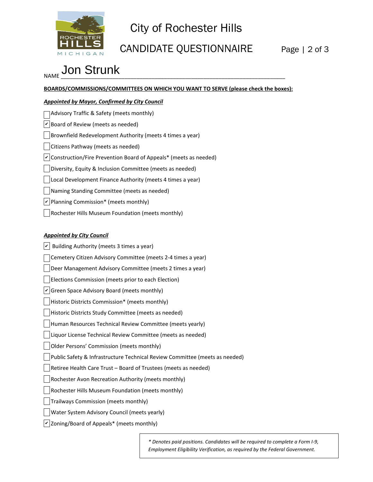

# City of Rochester Hills

### CANDIDATE QUESTIONNAIRE Page | 2 of 3

### NAME \_\_\_\_\_\_\_\_\_\_\_\_\_\_\_\_\_\_\_\_\_\_\_\_\_\_\_\_\_\_\_\_\_\_\_\_\_\_\_\_\_\_\_\_\_\_\_\_\_\_\_\_\_\_\_\_\_\_\_\_\_\_\_\_\_\_\_\_\_\_\_\_\_\_ Jon Strunk

**BOARDS/COMMISSIONS/COMMITTEES ON WHICH YOU WANT TO SERVE (please check the boxes):**

#### *Appointed by Mayor, Confirmed by City Council*

| Advisory Traffic & Safety (meets monthly)                                                 |
|-------------------------------------------------------------------------------------------|
| $ v $ Board of Review (meets as needed)                                                   |
| Brownfield Redevelopment Authority (meets 4 times a year)                                 |
| Citizens Pathway (meets as needed)                                                        |
| $\vert \mathbf{v} \vert$ Construction/Fire Prevention Board of Appeals* (meets as needed) |
| Diversity, Equity & Inclusion Committee (meets as needed)                                 |
| Local Development Finance Authority (meets 4 times a year)                                |
| Naming Standing Committee (meets as needed)                                               |
| $ v $ Planning Commission* (meets monthly)                                                |
| Rochester Hills Museum Foundation (meets monthly)                                         |

#### *Appointed by City Council*

 $|v|$  Building Authority (meets 3 times a year) Cemetery Citizen Advisory Committee (meets 2-4 times a year) Deer Management Advisory Committee (meets 2 times a year) Elections Commission (meets prior to each Election)  $\vee$  Green Space Advisory Board (meets monthly) Historic Districts Commission\* (meets monthly)  $\Box$ Historic Districts Study Committee (meets as needed) Human Resources Technical Review Committee (meets yearly) Liquor License Technical Review Committee (meets as needed) Older Persons' Commission (meets monthly) Public Safety & Infrastructure Technical Review Committee (meets as needed) Retiree Health Care Trust – Board of Trustees (meets as needed) Rochester Avon Recreation Authority (meets monthly) Rochester Hills Museum Foundation (meets monthly)  $\vert \ \vert$ Trailways Commission (meets monthly) Water System Advisory Council (meets yearly)  $\nu$  Zoning/Board of Appeals\* (meets monthly)

> *\* Denotes paid positions. Candidates will be required to complete a Form I-9, Employment Eligibility Verification, as required by the Federal Government.*